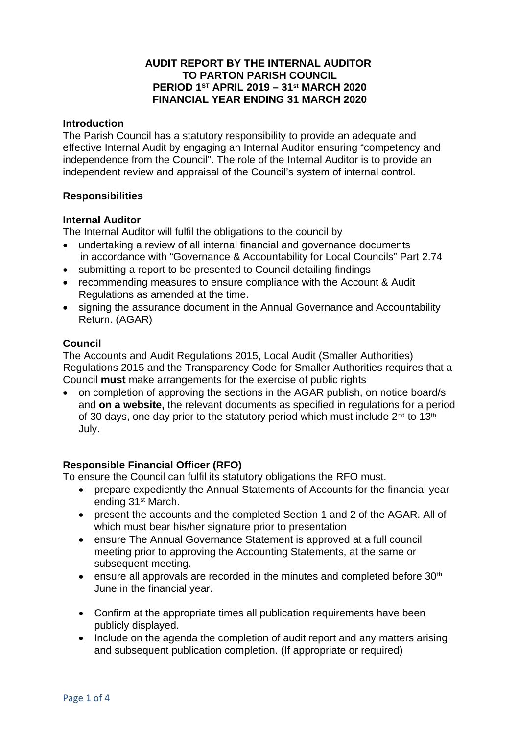## **AUDIT REPORT BY THE INTERNAL AUDITOR TO PARTON PARISH COUNCIL PERIOD 1ST APRIL 2019 – 31st MARCH 2020 FINANCIAL YEAR ENDING 31 MARCH 2020**

#### **Introduction**

The Parish Council has a statutory responsibility to provide an adequate and effective Internal Audit by engaging an Internal Auditor ensuring "competency and independence from the Council". The role of the Internal Auditor is to provide an independent review and appraisal of the Council's system of internal control.

## **Responsibilities**

### **Internal Auditor**

The Internal Auditor will fulfil the obligations to the council by

- undertaking a review of all internal financial and governance documents in accordance with "Governance & Accountability for Local Councils" Part 2.74
- submitting a report to be presented to Council detailing findings
- recommending measures to ensure compliance with the Account & Audit Regulations as amended at the time.
- signing the assurance document in the Annual Governance and Accountability Return. (AGAR)

### **Council**

The Accounts and Audit Regulations 2015, Local Audit (Smaller Authorities) Regulations 2015 and the Transparency Code for Smaller Authorities requires that a Council **must** make arrangements for the exercise of public rights

• on completion of approving the sections in the AGAR publish, on notice board/s and **on a website,** the relevant documents as specified in regulations for a period of 30 days, one day prior to the statutory period which must include  $2^{nd}$  to 13<sup>th</sup> July.

## **Responsible Financial Officer (RFO)**

To ensure the Council can fulfil its statutory obligations the RFO must.

- prepare expediently the Annual Statements of Accounts for the financial year ending 31st March.
- present the accounts and the completed Section 1 and 2 of the AGAR. All of which must bear his/her signature prior to presentation
- ensure The Annual Governance Statement is approved at a full council meeting prior to approving the Accounting Statements, at the same or subsequent meeting.
- **e** ensure all approvals are recorded in the minutes and completed before  $30<sup>th</sup>$ June in the financial year.
- Confirm at the appropriate times all publication requirements have been publicly displayed.
- Include on the agenda the completion of audit report and any matters arising and subsequent publication completion. (If appropriate or required)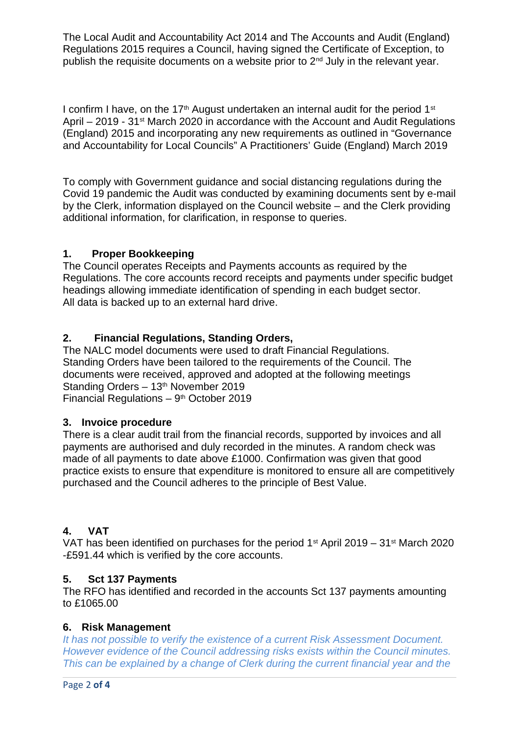The Local Audit and Accountability Act 2014 and The Accounts and Audit (England) Regulations 2015 requires a Council, having signed the Certificate of Exception, to publish the requisite documents on a website prior to 2nd July in the relevant year.

I confirm I have, on the 17<sup>th</sup> August undertaken an internal audit for the period 1<sup>st</sup> April – 2019 - 31<sup>st</sup> March 2020 in accordance with the Account and Audit Regulations (England) 2015 and incorporating any new requirements as outlined in "Governance and Accountability for Local Councils" A Practitioners' Guide (England) March 2019

To comply with Government guidance and social distancing regulations during the Covid 19 pandemic the Audit was conducted by examining documents sent by e-mail by the Clerk, information displayed on the Council website – and the Clerk providing additional information, for clarification, in response to queries.

# **1. Proper Bookkeeping**

The Council operates Receipts and Payments accounts as required by the Regulations. The core accounts record receipts and payments under specific budget headings allowing immediate identification of spending in each budget sector. All data is backed up to an external hard drive.

# **2. Financial Regulations, Standing Orders,**

The NALC model documents were used to draft Financial Regulations. Standing Orders have been tailored to the requirements of the Council. The documents were received, approved and adopted at the following meetings Standing Orders - 13<sup>th</sup> November 2019 Financial Regulations  $-9<sup>th</sup>$  October 2019

## **3. Invoice procedure**

There is a clear audit trail from the financial records, supported by invoices and all payments are authorised and duly recorded in the minutes. A random check was made of all payments to date above £1000. Confirmation was given that good practice exists to ensure that expenditure is monitored to ensure all are competitively purchased and the Council adheres to the principle of Best Value.

# **4. VAT**

VAT has been identified on purchases for the period  $1<sup>st</sup>$  April 2019 – 31 $<sup>st</sup>$  March 2020</sup> -£591.44 which is verified by the core accounts.

## **5. Sct 137 Payments**

The RFO has identified and recorded in the accounts Sct 137 payments amounting to £1065.00

## **6. Risk Management**

It has not possible to verify the existence of a current Risk Assessment Document. However evidence of the Council addressing risks exists within the Council minutes. This can be explained by a change of Clerk during the current financial year and the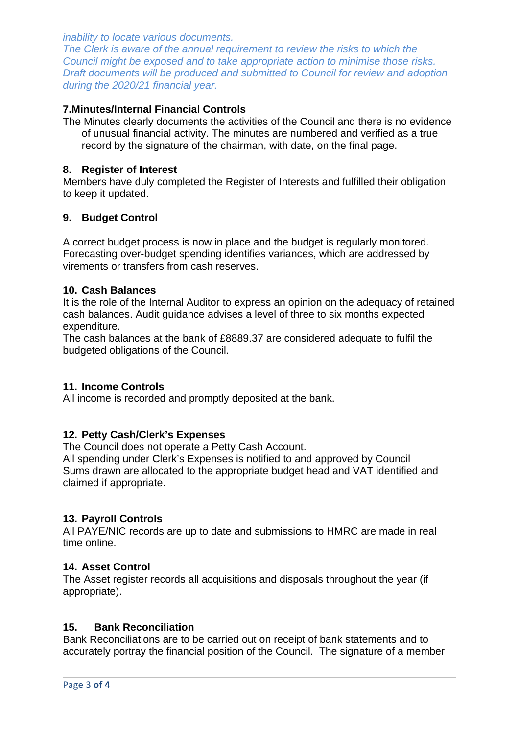inability to locate various documents.

The Clerk is aware of the annual requirement to review the risks to which the Council might be exposed and to take appropriate action to minimise those risks. Draft documents will be produced and submitted to Council for review and adoption during the 2020/21 financial year.

## **7.Minutes/Internal Financial Controls**

The Minutes clearly documents the activities of the Council and there is no evidence of unusual financial activity. The minutes are numbered and verified as a true record by the signature of the chairman, with date, on the final page.

## **8. Register of Interest**

Members have duly completed the Register of Interests and fulfilled their obligation to keep it updated.

## **9. Budget Control**

A correct budget process is now in place and the budget is regularly monitored. Forecasting over-budget spending identifies variances, which are addressed by virements or transfers from cash reserves.

## **10. Cash Balances**

It is the role of the Internal Auditor to express an opinion on the adequacy of retained cash balances. Audit guidance advises a level of three to six months expected expenditure.

The cash balances at the bank of £8889.37 are considered adequate to fulfil the budgeted obligations of the Council.

## **11. Income Controls**

All income is recorded and promptly deposited at the bank.

## **12. Petty Cash/Clerk's Expenses**

The Council does not operate a Petty Cash Account.

All spending under Clerk's Expenses is notified to and approved by Council Sums drawn are allocated to the appropriate budget head and VAT identified and claimed if appropriate.

## **13. Payroll Controls**

All PAYE/NIC records are up to date and submissions to HMRC are made in real time online.

#### **14. Asset Control**

The Asset register records all acquisitions and disposals throughout the year (if appropriate).

### **15. Bank Reconciliation**

Bank Reconciliations are to be carried out on receipt of bank statements and to accurately portray the financial position of the Council. The signature of a member